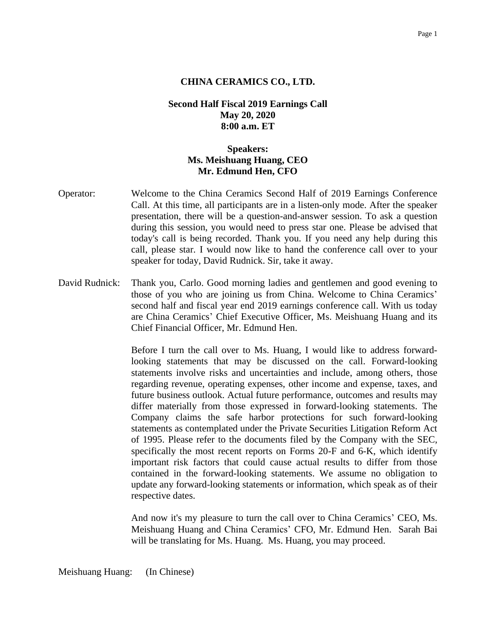## **CHINA CERAMICS CO., LTD.**

## **Second Half Fiscal 2019 Earnings Call May 20, 2020 8:00 a.m. ET**

## **Speakers: Ms. Meishuang Huang, CEO Mr. Edmund Hen, CFO**

- Operator: Welcome to the China Ceramics Second Half of 2019 Earnings Conference Call. At this time, all participants are in a listen-only mode. After the speaker presentation, there will be a question-and-answer session. To ask a question during this session, you would need to press star one. Please be advised that today's call is being recorded. Thank you. If you need any help during this call, please star. I would now like to hand the conference call over to your speaker for today, David Rudnick. Sir, take it away.
- David Rudnick: Thank you, Carlo. Good morning ladies and gentlemen and good evening to those of you who are joining us from China. Welcome to China Ceramics' second half and fiscal year end 2019 earnings conference call. With us today are China Ceramics' Chief Executive Officer, Ms. Meishuang Huang and its Chief Financial Officer, Mr. Edmund Hen.

Before I turn the call over to Ms. Huang, I would like to address forwardlooking statements that may be discussed on the call. Forward-looking statements involve risks and uncertainties and include, among others, those regarding revenue, operating expenses, other income and expense, taxes, and future business outlook. Actual future performance, outcomes and results may differ materially from those expressed in forward-looking statements. The Company claims the safe harbor protections for such forward-looking statements as contemplated under the Private Securities Litigation Reform Act of 1995. Please refer to the documents filed by the Company with the SEC, specifically the most recent reports on Forms 20-F and 6-K, which identify important risk factors that could cause actual results to differ from those contained in the forward-looking statements. We assume no obligation to update any forward-looking statements or information, which speak as of their respective dates.

And now it's my pleasure to turn the call over to China Ceramics' CEO, Ms. Meishuang Huang and China Ceramics' CFO, Mr. Edmund Hen. Sarah Bai will be translating for Ms. Huang. Ms. Huang, you may proceed.

Meishuang Huang: (In Chinese)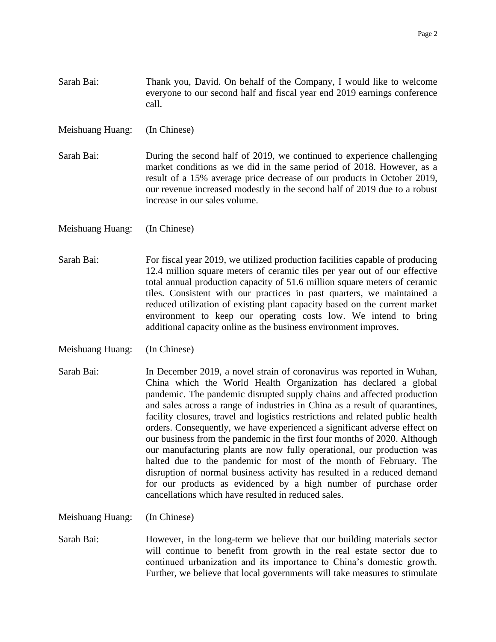- Sarah Bai: Thank you, David. On behalf of the Company, I would like to welcome everyone to our second half and fiscal year end 2019 earnings conference call.
- Meishuang Huang: (In Chinese)
- Sarah Bai: During the second half of 2019, we continued to experience challenging market conditions as we did in the same period of 2018. However, as a result of a 15% average price decrease of our products in October 2019, our revenue increased modestly in the second half of 2019 due to a robust increase in our sales volume.
- Meishuang Huang: (In Chinese)
- Sarah Bai: For fiscal year 2019, we utilized production facilities capable of producing 12.4 million square meters of ceramic tiles per year out of our effective total annual production capacity of 51.6 million square meters of ceramic tiles. Consistent with our practices in past quarters, we maintained a reduced utilization of existing plant capacity based on the current market environment to keep our operating costs low. We intend to bring additional capacity online as the business environment improves.
- Meishuang Huang: (In Chinese)
- Sarah Bai: In December 2019, a novel strain of coronavirus was reported in Wuhan, China which the World Health Organization has declared a global pandemic. The pandemic disrupted supply chains and affected production and sales across a range of industries in China as a result of quarantines, facility closures, travel and logistics restrictions and related public health orders. Consequently, we have experienced a significant adverse effect on our business from the pandemic in the first four months of 2020. Although our manufacturing plants are now fully operational, our production was halted due to the pandemic for most of the month of February. The disruption of normal business activity has resulted in a reduced demand for our products as evidenced by a high number of purchase order cancellations which have resulted in reduced sales.

Meishuang Huang: (In Chinese)

Sarah Bai: However, in the long-term we believe that our building materials sector will continue to benefit from growth in the real estate sector due to continued urbanization and its importance to China's domestic growth. Further, we believe that local governments will take measures to stimulate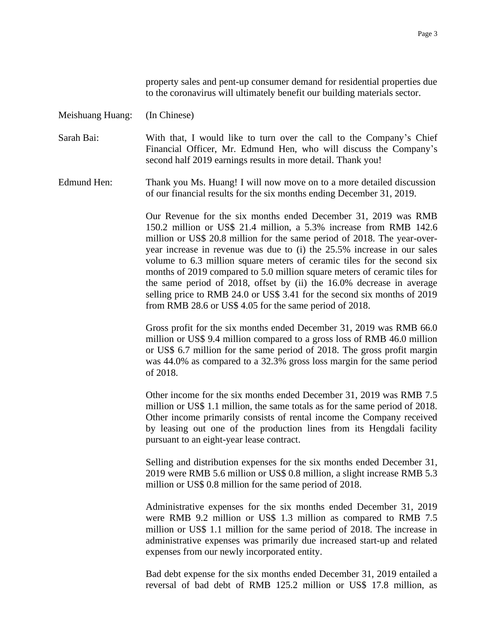property sales and pent-up consumer demand for residential properties due to the coronavirus will ultimately benefit our building materials sector.

Meishuang Huang: (In Chinese)

Sarah Bai: With that, I would like to turn over the call to the Company's Chief Financial Officer, Mr. Edmund Hen, who will discuss the Company's second half 2019 earnings results in more detail. Thank you!

Edmund Hen: Thank you Ms. Huang! I will now move on to a more detailed discussion of our financial results for the six months ending December 31, 2019.

> Our Revenue for the six months ended December 31, 2019 was RMB 150.2 million or US\$ 21.4 million, a 5.3% increase from RMB 142.6 million or US\$ 20.8 million for the same period of 2018. The year-overyear increase in revenue was due to (i) the 25.5% increase in our sales volume to 6.3 million square meters of ceramic tiles for the second six months of 2019 compared to 5.0 million square meters of ceramic tiles for the same period of 2018, offset by (ii) the 16.0% decrease in average selling price to RMB 24.0 or US\$ 3.41 for the second six months of 2019 from RMB 28.6 or US\$ 4.05 for the same period of 2018.

> Gross profit for the six months ended December 31, 2019 was RMB 66.0 million or US\$ 9.4 million compared to a gross loss of RMB 46.0 million or US\$ 6.7 million for the same period of 2018. The gross profit margin was 44.0% as compared to a 32.3% gross loss margin for the same period of 2018.

> Other income for the six months ended December 31, 2019 was RMB 7.5 million or US\$ 1.1 million, the same totals as for the same period of 2018. Other income primarily consists of rental income the Company received by leasing out one of the production lines from its Hengdali facility pursuant to an eight-year lease contract.

> Selling and distribution expenses for the six months ended December 31, 2019 were RMB 5.6 million or US\$ 0.8 million, a slight increase RMB 5.3 million or US\$ 0.8 million for the same period of 2018.

> Administrative expenses for the six months ended December 31, 2019 were RMB 9.2 million or US\$ 1.3 million as compared to RMB 7.5 million or US\$ 1.1 million for the same period of 2018. The increase in administrative expenses was primarily due increased start-up and related expenses from our newly incorporated entity.

> Bad debt expense for the six months ended December 31, 2019 entailed a reversal of bad debt of RMB 125.2 million or US\$ 17.8 million, as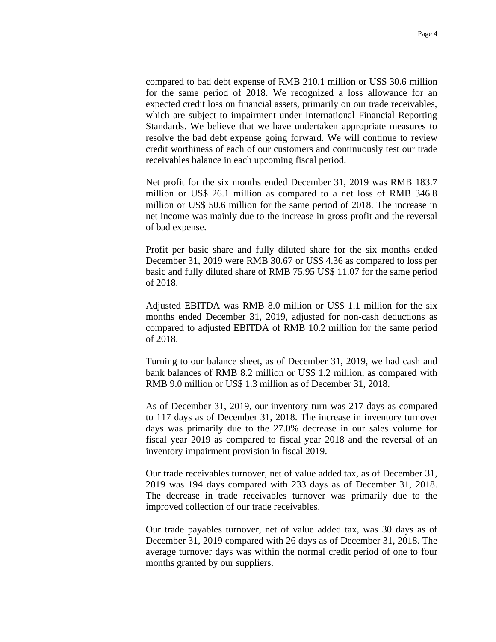compared to bad debt expense of RMB 210.1 million or US\$ 30.6 million for the same period of 2018. We recognized a loss allowance for an expected credit loss on financial assets, primarily on our trade receivables, which are subject to impairment under International Financial Reporting Standards. We believe that we have undertaken appropriate measures to resolve the bad debt expense going forward. We will continue to review credit worthiness of each of our customers and continuously test our trade receivables balance in each upcoming fiscal period.

Net profit for the six months ended December 31, 2019 was RMB 183.7 million or US\$ 26.1 million as compared to a net loss of RMB 346.8 million or US\$ 50.6 million for the same period of 2018. The increase in net income was mainly due to the increase in gross profit and the reversal of bad expense.

Profit per basic share and fully diluted share for the six months ended December 31, 2019 were RMB 30.67 or US\$ 4.36 as compared to loss per basic and fully diluted share of RMB 75.95 US\$ 11.07 for the same period of 2018.

Adjusted EBITDA was RMB 8.0 million or US\$ 1.1 million for the six months ended December 31, 2019, adjusted for non-cash deductions as compared to adjusted EBITDA of RMB 10.2 million for the same period of 2018.

Turning to our balance sheet, as of December 31, 2019, we had cash and bank balances of RMB 8.2 million or US\$ 1.2 million, as compared with RMB 9.0 million or US\$ 1.3 million as of December 31, 2018.

As of December 31, 2019, our inventory turn was 217 days as compared to 117 days as of December 31, 2018. The increase in inventory turnover days was primarily due to the 27.0% decrease in our sales volume for fiscal year 2019 as compared to fiscal year 2018 and the reversal of an inventory impairment provision in fiscal 2019.

Our trade receivables turnover, net of value added tax, as of December 31, 2019 was 194 days compared with 233 days as of December 31, 2018. The decrease in trade receivables turnover was primarily due to the improved collection of our trade receivables.

Our trade payables turnover, net of value added tax, was 30 days as of December 31, 2019 compared with 26 days as of December 31, 2018. The average turnover days was within the normal credit period of one to four months granted by our suppliers.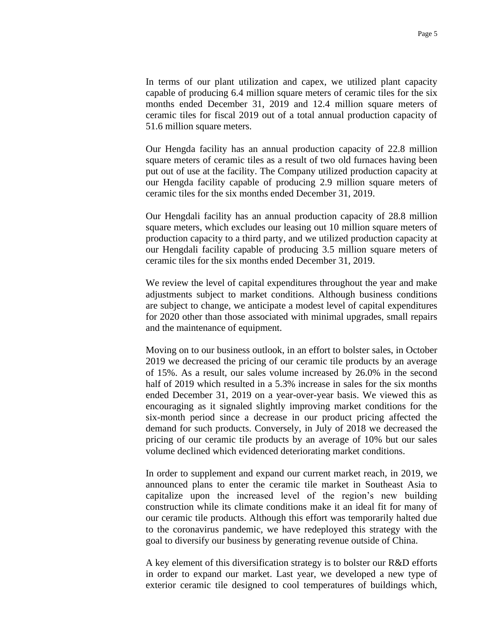In terms of our plant utilization and capex, we utilized plant capacity capable of producing 6.4 million square meters of ceramic tiles for the six months ended December 31, 2019 and 12.4 million square meters of ceramic tiles for fiscal 2019 out of a total annual production capacity of 51.6 million square meters.

Our Hengda facility has an annual production capacity of 22.8 million square meters of ceramic tiles as a result of two old furnaces having been put out of use at the facility. The Company utilized production capacity at our Hengda facility capable of producing 2.9 million square meters of ceramic tiles for the six months ended December 31, 2019.

Our Hengdali facility has an annual production capacity of 28.8 million square meters, which excludes our leasing out 10 million square meters of production capacity to a third party, and we utilized production capacity at our Hengdali facility capable of producing 3.5 million square meters of ceramic tiles for the six months ended December 31, 2019.

We review the level of capital expenditures throughout the year and make adjustments subject to market conditions. Although business conditions are subject to change, we anticipate a modest level of capital expenditures for 2020 other than those associated with minimal upgrades, small repairs and the maintenance of equipment.

Moving on to our business outlook, in an effort to bolster sales, in October 2019 we decreased the pricing of our ceramic tile products by an average of 15%. As a result, our sales volume increased by 26.0% in the second half of 2019 which resulted in a 5.3% increase in sales for the six months ended December 31, 2019 on a year-over-year basis. We viewed this as encouraging as it signaled slightly improving market conditions for the six-month period since a decrease in our product pricing affected the demand for such products. Conversely, in July of 2018 we decreased the pricing of our ceramic tile products by an average of 10% but our sales volume declined which evidenced deteriorating market conditions.

In order to supplement and expand our current market reach, in 2019, we announced plans to enter the ceramic tile market in Southeast Asia to capitalize upon the increased level of the region's new building construction while its climate conditions make it an ideal fit for many of our ceramic tile products. Although this effort was temporarily halted due to the coronavirus pandemic, we have redeployed this strategy with the goal to diversify our business by generating revenue outside of China.

A key element of this diversification strategy is to bolster our R&D efforts in order to expand our market. Last year, we developed a new type of exterior ceramic tile designed to cool temperatures of buildings which,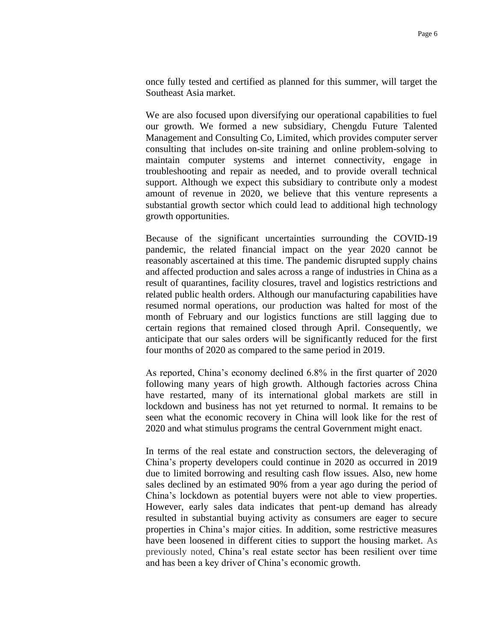once fully tested and certified as planned for this summer, will target the Southeast Asia market.

We are also focused upon diversifying our operational capabilities to fuel our growth. We formed a new subsidiary, Chengdu Future Talented Management and Consulting Co, Limited, which provides computer server consulting that includes on-site training and online problem-solving to maintain computer systems and internet connectivity, engage in troubleshooting and repair as needed, and to provide overall technical support. Although we expect this subsidiary to contribute only a modest amount of revenue in 2020, we believe that this venture represents a substantial growth sector which could lead to additional high technology growth opportunities.

Because of the significant uncertainties surrounding the COVID-19 pandemic, the related financial impact on the year 2020 cannot be reasonably ascertained at this time. The pandemic disrupted supply chains and affected production and sales across a range of industries in China as a result of quarantines, facility closures, travel and logistics restrictions and related public health orders. Although our manufacturing capabilities have resumed normal operations, our production was halted for most of the month of February and our logistics functions are still lagging due to certain regions that remained closed through April. Consequently, we anticipate that our sales orders will be significantly reduced for the first four months of 2020 as compared to the same period in 2019.

As reported, China's economy declined 6.8% in the first quarter of 2020 following many years of high growth. Although factories across China have restarted, many of its international global markets are still in lockdown and business has not yet returned to normal. It remains to be seen what the economic recovery in China will look like for the rest of 2020 and what stimulus programs the central Government might enact.

In terms of the real estate and construction sectors, the deleveraging of China's property developers could continue in 2020 as occurred in 2019 due to limited borrowing and resulting cash flow issues. Also, new home sales declined by an estimated 90% from a year ago during the period of China's lockdown as potential buyers were not able to view properties. However, early sales data indicates that pent-up demand has already resulted in substantial buying activity as consumers are eager to secure properties in China's major cities. In addition, some restrictive measures have been loosened in different cities to support the housing market. As previously noted, China's real estate sector has been resilient over time and has been a key driver of China's economic growth.